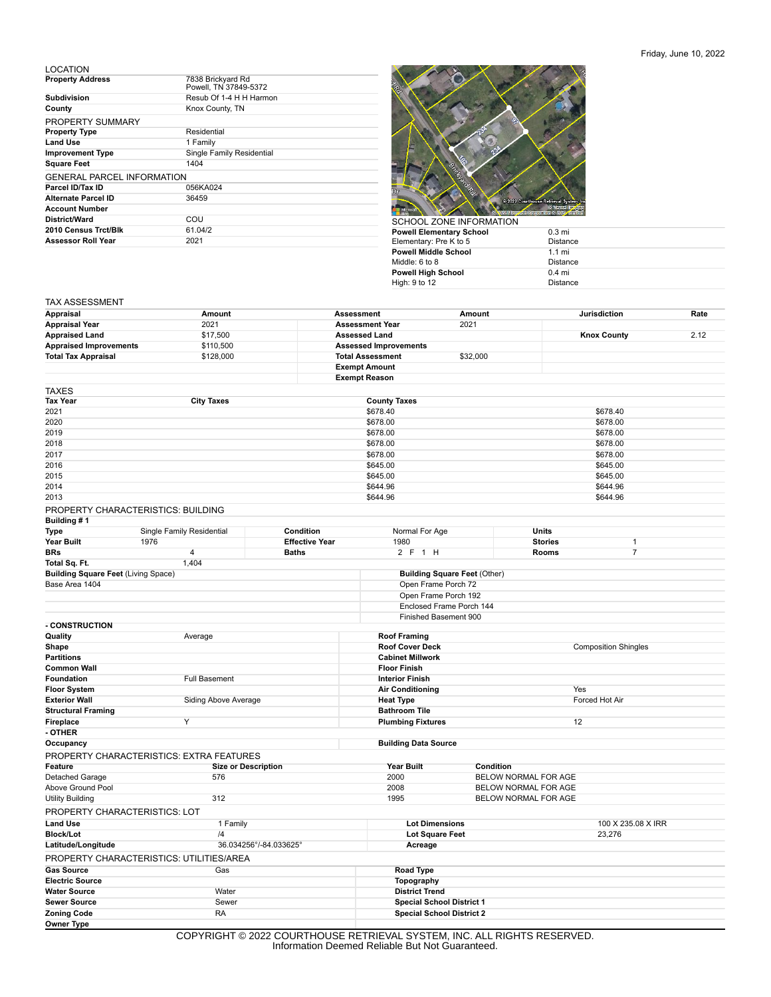## LOCATION

| <b>Property Address</b>           | 7838 Brickyard Rd<br>Powell. TN 37849-5372 |
|-----------------------------------|--------------------------------------------|
| <b>Subdivision</b>                | Resub Of 1-4 H H Harmon                    |
| County                            | Knox County, TN                            |
| PROPERTY SUMMARY                  |                                            |
| <b>Property Type</b>              | Residential                                |
| <b>Land Use</b>                   | 1 Family                                   |
| <b>Improvement Type</b>           | Single Family Residential                  |
| <b>Square Feet</b>                | 1404                                       |
| <b>GENERAL PARCEL INFORMATION</b> |                                            |
| Parcel ID/Tax ID                  | 056KA024                                   |
| Alternate Parcel ID               | 36459                                      |
| <b>Account Number</b>             |                                            |
| District/Ward                     | COU                                        |
| 2010 Census Trct/Blk              | 61.04/2                                    |
| <b>Assessor Roll Year</b>         | 2021                                       |



| SCHOOL ZONE INFORMATION  |                  |
|--------------------------|------------------|
| Powell Elementary School | $0.3 \text{ mi}$ |
| Elementary: Pre K to 5   | <b>Distance</b>  |
| Powell Middle School     | $1.1 \text{ mi}$ |
| Middle: 6 to 8           | <b>Distance</b>  |
| Powell High School       | $0.4$ mi         |
| High: 9 to 12            | <b>Distance</b>  |
|                          |                  |

## TAX ASSESSMENT

| Appraisal                                                    | Amount                                   |                       | Assessment                                  | Amount                 |                      | Jurisdiction                | Rate |
|--------------------------------------------------------------|------------------------------------------|-----------------------|---------------------------------------------|------------------------|----------------------|-----------------------------|------|
| <b>Appraisal Year</b>                                        | 2021                                     |                       | <b>Assessment Year</b>                      | 2021                   |                      |                             |      |
| <b>Appraised Land</b>                                        | \$17,500                                 |                       | <b>Assessed Land</b>                        |                        |                      | <b>Knox County</b>          | 2.12 |
| <b>Appraised Improvements</b>                                | \$110,500                                |                       | <b>Assessed Improvements</b>                |                        |                      |                             |      |
| <b>Total Tax Appraisal</b>                                   | \$128,000                                |                       | <b>Total Assessment</b>                     | \$32,000               |                      |                             |      |
|                                                              |                                          |                       | <b>Exempt Amount</b>                        |                        |                      |                             |      |
|                                                              |                                          |                       | <b>Exempt Reason</b>                        |                        |                      |                             |      |
| <b>TAXES</b>                                                 |                                          |                       |                                             |                        |                      |                             |      |
| <b>Tax Year</b>                                              | <b>City Taxes</b>                        |                       | <b>County Taxes</b>                         |                        |                      |                             |      |
| 2021                                                         |                                          |                       | \$678.40                                    |                        |                      | \$678.40                    |      |
| 2020                                                         |                                          |                       | \$678.00                                    |                        |                      | \$678.00                    |      |
| 2019                                                         |                                          |                       | \$678.00                                    |                        |                      | \$678.00                    |      |
| 2018                                                         |                                          |                       | \$678.00                                    |                        |                      | \$678.00                    |      |
| 2017                                                         |                                          |                       | \$678.00                                    |                        |                      | \$678.00                    |      |
| 2016                                                         |                                          |                       | \$645.00                                    |                        |                      | \$645.00                    |      |
| 2015                                                         |                                          | \$645.00              |                                             |                        | \$645.00             |                             |      |
| 2014                                                         |                                          |                       | \$644.96                                    |                        |                      | \$644.96                    |      |
| 2013                                                         |                                          |                       | \$644.96                                    |                        |                      | \$644.96                    |      |
| PROPERTY CHARACTERISTICS: BUILDING                           |                                          |                       |                                             |                        |                      |                             |      |
| Building #1                                                  |                                          |                       |                                             |                        |                      |                             |      |
| Type                                                         | Single Family Residential                | Condition             | Normal For Age                              |                        | Units                |                             |      |
| Year Built                                                   | 1976                                     | <b>Effective Year</b> | 1980                                        |                        | <b>Stories</b>       | 1                           |      |
| <b>BRs</b>                                                   | $\overline{\mathbf{4}}$                  | <b>Baths</b>          | 2 F 1 H                                     |                        | Rooms                | $\overline{7}$              |      |
| Total Sq. Ft.                                                | 1,404                                    |                       |                                             |                        |                      |                             |      |
| <b>Building Square Feet (Living Space)</b><br>Base Area 1404 |                                          |                       | <b>Building Square Feet (Other)</b>         |                        |                      |                             |      |
|                                                              |                                          |                       | Open Frame Porch 72<br>Open Frame Porch 192 |                        |                      |                             |      |
|                                                              |                                          |                       | Enclosed Frame Porch 144                    |                        |                      |                             |      |
|                                                              |                                          |                       | Finished Basement 900                       |                        |                      |                             |      |
| - CONSTRUCTION                                               |                                          |                       |                                             |                        |                      |                             |      |
| Quality                                                      | Average                                  |                       | <b>Roof Framing</b>                         |                        |                      |                             |      |
| Shape                                                        |                                          |                       | Roof Cover Deck                             |                        |                      | <b>Composition Shingles</b> |      |
| <b>Partitions</b>                                            |                                          |                       | <b>Cabinet Millwork</b>                     |                        |                      |                             |      |
| <b>Common Wall</b>                                           |                                          |                       | <b>Floor Finish</b>                         |                        |                      |                             |      |
| Foundation                                                   | <b>Full Basement</b>                     |                       | <b>Interior Finish</b>                      |                        |                      |                             |      |
| <b>Floor System</b>                                          |                                          |                       | <b>Air Conditioning</b>                     |                        | Yes                  |                             |      |
| <b>Exterior Wall</b>                                         | Siding Above Average                     |                       | <b>Heat Type</b>                            |                        |                      | Forced Hot Air              |      |
| <b>Structural Framing</b>                                    |                                          |                       | <b>Bathroom Tile</b>                        |                        |                      |                             |      |
| Fireplace                                                    | Υ                                        |                       | <b>Plumbing Fixtures</b>                    |                        | 12                   |                             |      |
| - OTHER                                                      |                                          |                       |                                             |                        |                      |                             |      |
| Occupancy                                                    |                                          |                       | <b>Building Data Source</b>                 |                        |                      |                             |      |
|                                                              | PROPERTY CHARACTERISTICS: EXTRA FEATURES |                       |                                             |                        |                      |                             |      |
| Feature                                                      | <b>Size or Description</b>               |                       | Year Built                                  | Condition              |                      |                             |      |
| Detached Garage                                              | 576                                      |                       | 2000                                        |                        | BELOW NORMAL FOR AGE |                             |      |
| Above Ground Pool                                            |                                          |                       | 2008                                        |                        | BELOW NORMAL FOR AGE |                             |      |
| <b>Utility Building</b>                                      | 312                                      |                       | 1995                                        |                        | BELOW NORMAL FOR AGE |                             |      |
| PROPERTY CHARACTERISTICS: LOT                                |                                          |                       |                                             |                        |                      |                             |      |
| <b>Land Use</b>                                              | 1 Family                                 |                       | <b>Lot Dimensions</b>                       |                        |                      | 100 X 235.08 X IRR          |      |
| <b>Block/Lot</b>                                             | $\overline{4}$                           |                       |                                             | <b>Lot Square Feet</b> |                      | 23,276                      |      |
| Latitude/Longitude                                           | 36.034256°/-84.033625°                   | Acreage               |                                             |                        |                      |                             |      |
|                                                              | PROPERTY CHARACTERISTICS: UTILITIES/AREA |                       |                                             |                        |                      |                             |      |
| <b>Gas Source</b>                                            | Gas                                      |                       | <b>Road Type</b>                            |                        |                      |                             |      |
| <b>Electric Source</b>                                       |                                          |                       | Topography                                  |                        |                      |                             |      |
| <b>Water Source</b>                                          | Water                                    |                       | <b>District Trend</b>                       |                        |                      |                             |      |
| <b>Sewer Source</b>                                          | Sewer                                    |                       | <b>Special School District 1</b>            |                        |                      |                             |      |
| <b>Zoning Code</b>                                           | <b>RA</b>                                |                       | <b>Special School District 2</b>            |                        |                      |                             |      |
| <b>Owner Type</b>                                            |                                          |                       |                                             |                        |                      |                             |      |

COPYRIGHT © 2022 COURTHOUSE RETRIEVAL SYSTEM, INC. ALL RIGHTS RESERVED. Information Deemed Reliable But Not Guaranteed.